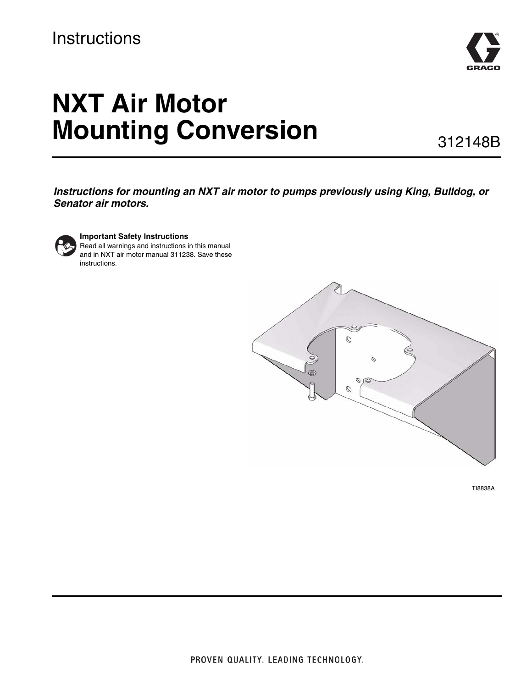# **Instructions**



# **NXT Air Motor Mounting Conversion**

312148B

*Instructions for mounting an NXT air motor to pumps previously using King, Bulldog, or Senator air motors.*



### **Important Safety Instructions**

Read all warnings and instructions in this manual and in NXT air motor manual 311238. Save these instructions.



TI8838A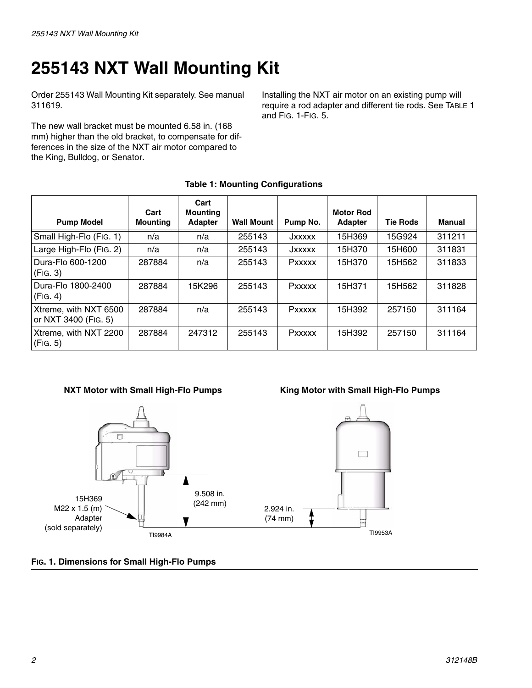# **255143 NXT Wall Mounting Kit**

Order 255143 Wall Mounting Kit separately. See manual 311619.

The new wall bracket must be mounted 6.58 in. (168 mm) higher than the old bracket, to compensate for differences in the size of the NXT air motor compared to the King, Bulldog, or Senator.

Installing the NXT air motor on an existing pump will require a rod adapter and different tie rods. See TABLE 1 and [FIG. 1-](#page-1-0)[FIG. 5.](#page-3-0)

|  |  | <b>Table 1: Mounting Configurations</b> |
|--|--|-----------------------------------------|
|--|--|-----------------------------------------|

| <b>Pump Model</b>                             | Cart<br><b>Mounting</b> | Cart<br><b>Mounting</b><br><b>Adapter</b> | <b>Wall Mount</b> | Pump No.      | <b>Motor Rod</b><br><b>Adapter</b> | <b>Tie Rods</b> | Manual |
|-----------------------------------------------|-------------------------|-------------------------------------------|-------------------|---------------|------------------------------------|-----------------|--------|
| Small High-Flo (Fig. 1)                       | n/a                     | n/a                                       | 255143            | JXXXXX        | 15H369                             | 15G924          | 311211 |
| Large High-Flo (Fig. 2)                       | n/a                     | n/a                                       | 255143            | JXXXXX        | 15H370                             | 15H600          | 311831 |
| Dura-Flo 600-1200<br>(FIG. 3)                 | 287884                  | n/a                                       | 255143            | <b>Pxxxxx</b> | 15H370                             | 15H562          | 311833 |
| Dura-Flo 1800-2400<br>(FIG. 4)                | 287884                  | 15K296                                    | 255143            | Pxxxxx        | 15H371                             | 15H562          | 311828 |
| Xtreme, with NXT 6500<br>or NXT 3400 (Fig. 5) | 287884                  | n/a                                       | 255143            | <b>Pxxxxx</b> | 15H392                             | 257150          | 311164 |
| Xtreme, with NXT 2200<br>(FIG. 5)             | 287884                  | 247312                                    | 255143            | <b>Pxxxxx</b> | 15H392                             | 257150          | 311164 |

### **NXT Motor with Small High-Flo Pumps King Motor with Small High-Flo Pumps**



<span id="page-1-0"></span>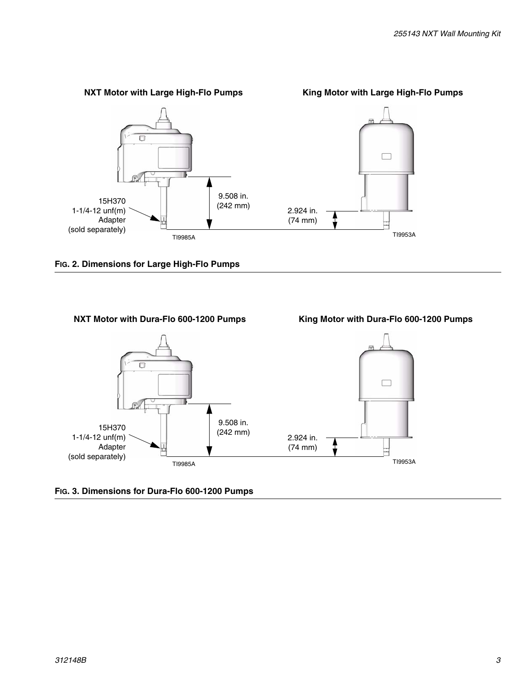

<span id="page-2-0"></span>**FIG. 2. Dimensions for Large High-Flo Pumps**



### <span id="page-2-1"></span>**FIG. 3. Dimensions for Dura-Flo 600-1200 Pumps**

### *312148B 3*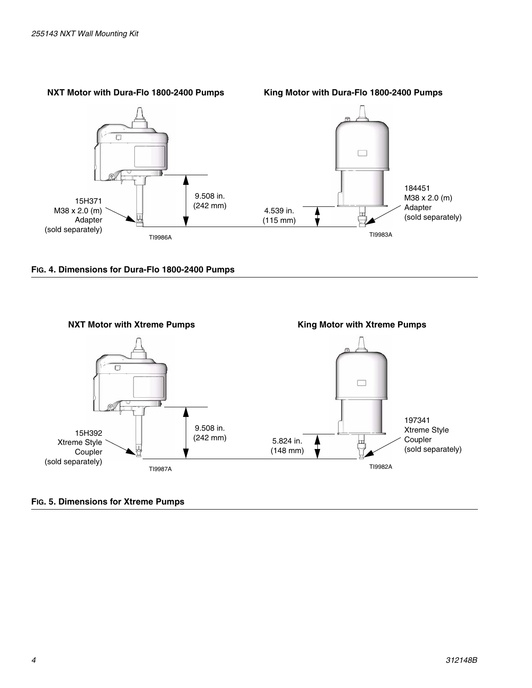

<span id="page-3-1"></span>



### <span id="page-3-0"></span>**FIG. 5. Dimensions for Xtreme Pumps**

### *4 312148B*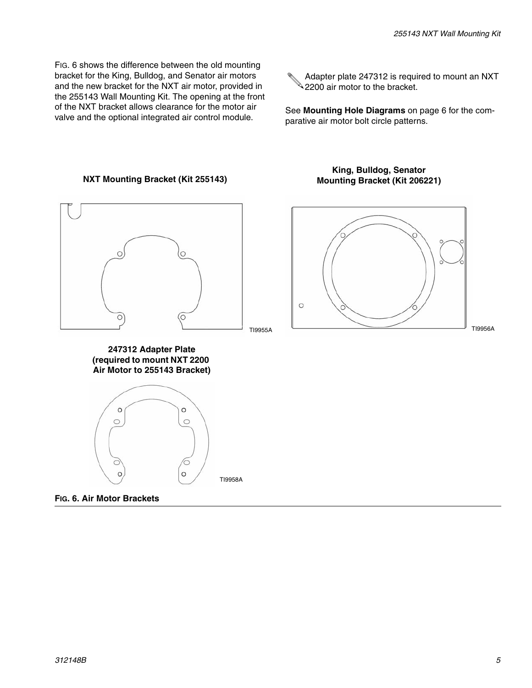FIG. 6 shows the difference between the old mounting bracket for the King, Bulldog, and Senator air motors and the new bracket for the NXT air motor, provided in the 255143 Wall Mounting Kit. The opening at the front of the NXT bracket allows clearance for the motor air valve and the optional integrated air control module.

**NXT Mounting Bracket (Kit 255143)**

Adapter plate 247312 is required to mount an NXT  $\mathbb Q$  2200 air motor to the bracket.

See **[Mounting Hole Diagrams](#page-5-0)** on page [6](#page-5-0) for the comparative air motor bolt circle patterns.

# $\circ$  $\circ$  $\circ$ C TI9955A

**247312 Adapter Plate (required to mount NXT 2200 Air Motor to 255143 Bracket)**



**FIG. 6. Air Motor Brackets**

### **King, Bulldog, Senator Mounting Bracket (Kit 206221)**